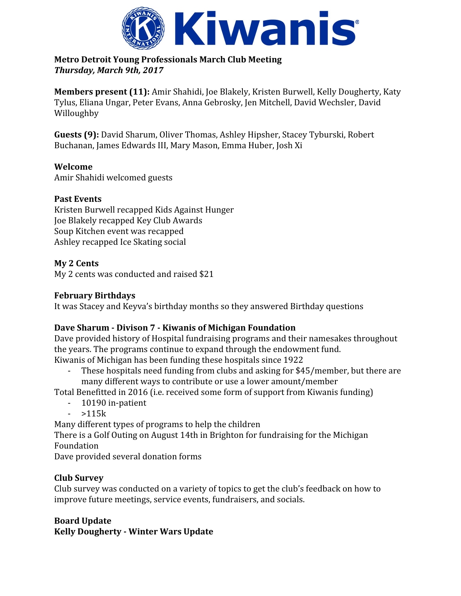

#### **Metro Detroit Young Professionals March Club Meeting** *Thursday, March 9th, 2017*

**Members present (11):** Amir Shahidi, Joe Blakely, Kristen Burwell, Kelly Dougherty, Katy Tylus, Eliana Ungar, Peter Evans, Anna Gebrosky, Jen Mitchell, David Wechsler, David Willoughby

**Guests (9):** David Sharum, Oliver Thomas, Ashley Hipsher, Stacey Tyburski, Robert Buchanan, James Edwards III, Mary Mason, Emma Huber, Josh Xi

#### **Welcome**

Amir Shahidi welcomed guests

#### **Past Events**

Kristen Burwell recapped Kids Against Hunger Joe Blakely recapped Key Club Awards Soup Kitchen event was recapped Ashley recapped Ice Skating social

#### **My 2 Cents**

My 2 cents was conducted and raised \$21

#### **February Birthdays**

It was Stacey and Keyva's birthday months so they answered Birthday questions

## **Dave Sharum - Divison 7 - Kiwanis of Michigan Foundation**

Dave provided history of Hospital fundraising programs and their namesakes throughout the years. The programs continue to expand through the endowment fund. Kiwanis of Michigan has been funding these hospitals since 1922

- These hospitals need funding from clubs and asking for \$45/member, but there are many different ways to contribute or use a lower amount/member

Total Benefitted in 2016 (i.e. received some form of support from Kiwanis funding)

- 10190 in-patient
- $-$  >115 $k$

Many different types of programs to help the children

There is a Golf Outing on August 14th in Brighton for fundraising for the Michigan Foundation

Dave provided several donation forms

## **Club Survey**

Club survey was conducted on a variety of topics to get the club's feedback on how to improve future meetings, service events, fundraisers, and socials.

## **Board Update**

**Kelly Dougherty - Winter Wars Update**